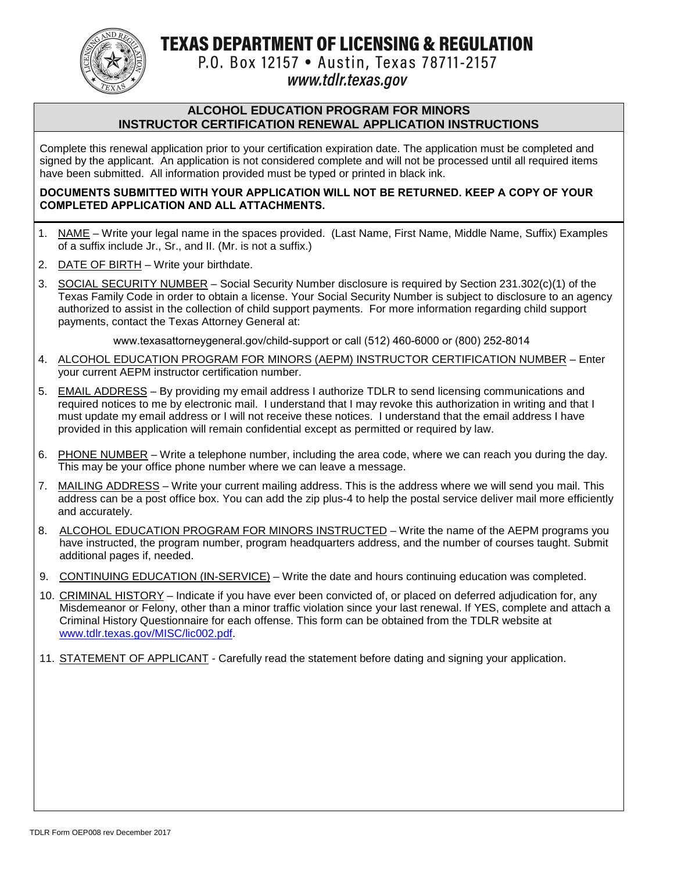TEXAS DEPARTMENT OF LICENSING & REGULATION



P.O. Box 12157 . Austin, Texas 78711-2157

# www.tdlr.texas.gov

#### **ALCOHOL EDUCATION PROGRAM FOR MINORS INSTRUCTOR CERTIFICATION RENEWAL APPLICATION INSTRUCTIONS**

Complete this renewal application prior to your certification expiration date. The application must be completed and signed by the applicant. An application is not considered complete and will not be processed until all required items have been submitted. All information provided must be typed or printed in black ink.

#### **DOCUMENTS SUBMITTED WITH YOUR APPLICATION WILL NOT BE RETURNED. KEEP A COPY OF YOUR COMPLETED APPLICATION AND ALL ATTACHMENTS.**

- 1. NAME Write your legal name in the spaces provided. (Last Name, First Name, Middle Name, Suffix) Examples of a suffix include Jr., Sr., and II. (Mr. is not a suffix.)
- 2. DATE OF BIRTH Write your birthdate.
- 3. SOCIAL SECURITY NUMBER Social Security Number disclosure is required by Section 231.302(c)(1) of the Texas Family Code in order to obtain a license. Your Social Security Number is subject to disclosure to an agency authorized to assist in the collection of child support payments. For more information regarding child support payments, contact the Texas Attorney General at:

www.texasattorneygeneral.gov/child-support or call (512) 460-6000 or (800) 252-8014

- 4. ALCOHOL EDUCATION PROGRAM FOR MINORS (AEPM) INSTRUCTOR CERTIFICATION NUMBER Enter your current AEPM instructor certification number.
- 5. EMAIL ADDRESS By providing my email address I authorize TDLR to send licensing communications and required notices to me by electronic mail. I understand that I may revoke this authorization in writing and that I must update my email address or I will not receive these notices. I understand that the email address I have provided in this application will remain confidential except as permitted or required by law.
- 6. PHONE NUMBER Write a telephone number, including the area code, where we can reach you during the day. This may be your office phone number where we can leave a message.
- 7. MAILING ADDRESS Write your current mailing address. This is the address where we will send you mail. This address can be a post office box. You can add the zip plus-4 to help the postal service deliver mail more efficiently and accurately.
- 8. ALCOHOL EDUCATION PROGRAM FOR MINORS INSTRUCTED Write the name of the AEPM programs you have instructed, the program number, program headquarters address, and the number of courses taught. Submit additional pages if, needed.
- 9. CONTINUING EDUCATION (IN-SERVICE) Write the date and hours continuing education was completed.
- 10. CRIMINAL HISTORY Indicate if you have ever been convicted of, or placed on deferred adjudication for, any Misdemeanor or Felony, other than a minor traffic violation since your last renewal. If YES, complete and attach a Criminal History Questionnaire for each offense. This form can be obtained from the TDLR website at [www.tdlr.texas.gov/MISC/lic002.pdf.](http://www.tdlr.texas.gov/MISC/lic002.pdf)
- 11. STATEMENT OF APPLICANT Carefully read the statement before dating and signing your application.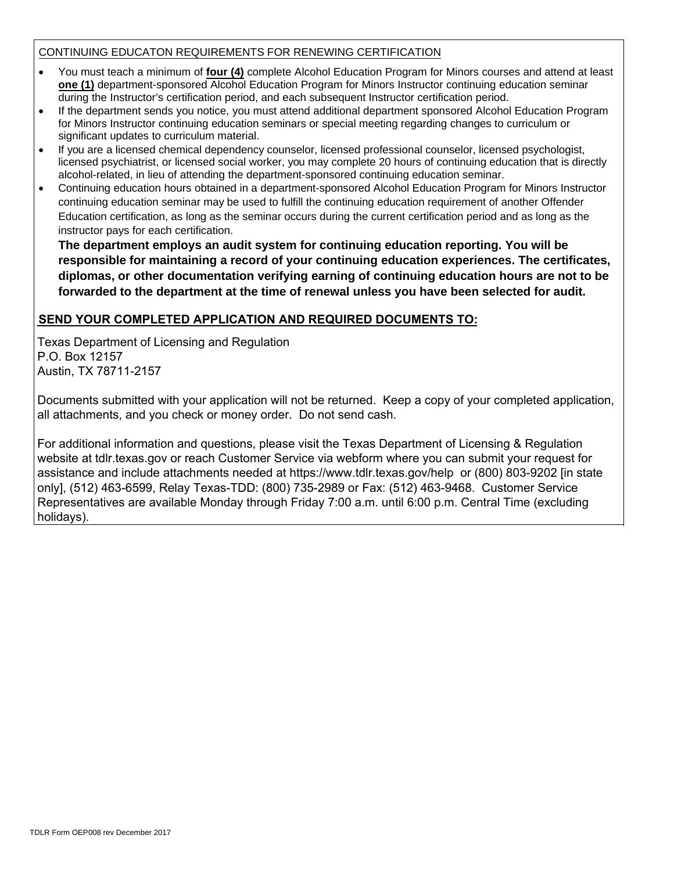### CONTINUING EDUCATON REQUIREMENTS FOR RENEWING CERTIFICATION

- You must teach a minimum of **four (4)** complete Alcohol Education Program for Minors courses and attend at least **one (1)** department-sponsored Alcohol Education Program for Minors Instructor continuing education seminar during the Instructor's certification period, and each subsequent Instructor certification period.
- If the department sends you notice, you must attend additional department sponsored Alcohol Education Program for Minors Instructor continuing education seminars or special meeting regarding changes to curriculum or significant updates to curriculum material.
- If you are a licensed chemical dependency counselor, licensed professional counselor, licensed psychologist, licensed psychiatrist, or licensed social worker, you may complete 20 hours of continuing education that is directly alcohol-related, in lieu of attending the department-sponsored continuing education seminar.
- Continuing education hours obtained in a department-sponsored Alcohol Education Program for Minors Instructor continuing education seminar may be used to fulfill the continuing education requirement of another Offender Education certification, as long as the seminar occurs during the current certification period and as long as the instructor pays for each certification.

**The department employs an audit system for continuing education reporting. You will be responsible for maintaining a record of your continuing education experiences. The certificates, diplomas, or other documentation verifying earning of continuing education hours are not to be forwarded to the department at the time of renewal unless you have been selected for audit.**

#### **SEND YOUR COMPLETED APPLICATION AND REQUIRED DOCUMENTS TO:**

Texas Department of Licensing and Regulation P.O. Box 12157 Austin, TX 78711-2157

Documents submitted with your application will not be returned. Keep a copy of your completed application, all attachments, and you check or money order. Do not send cash.

For additional information and questions, please visit the Texas Department of Licensing & Regulation website at tdlr.texas.gov or reach Customer Service via webform where you can submit your request for assistance and include attachments needed at https://www.tdlr.texas.gov/help or (800) 803-9202 [in state only], (512) 463-6599, Relay Texas-TDD: (800) 735-2989 or Fax: (512) 463-9468. Customer Service Representatives are available Monday through Friday 7:00 a.m. until 6:00 p.m. Central Time (excluding holidays).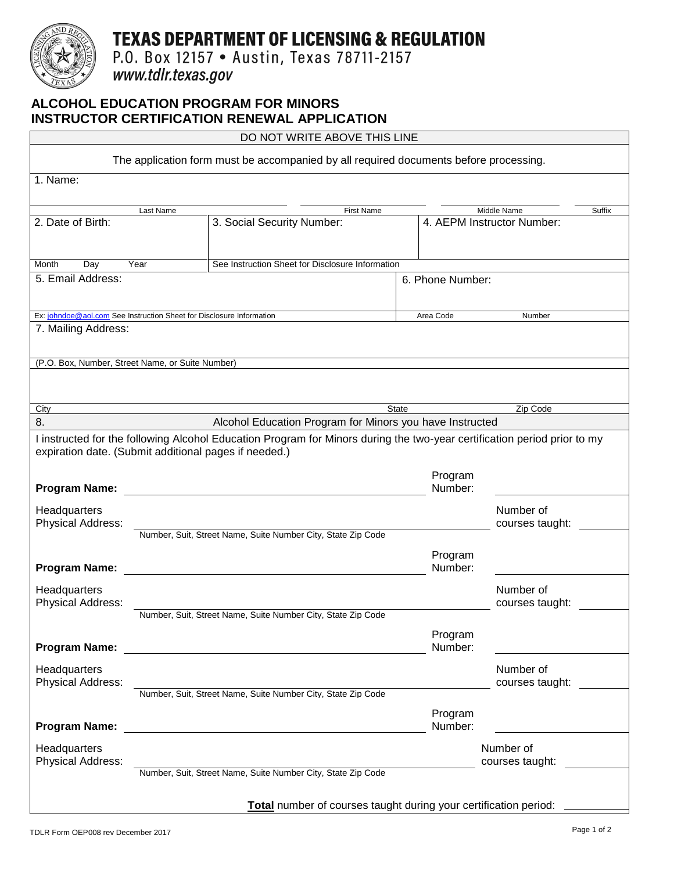

# **TEXAS DEPARTMENT OF LICENSING & REGULATION**

P.O. Box 12157 • Austin, Texas 78711-2157

www.tdlr.texas.gov

## **ALCOHOL EDUCATION PROGRAM FOR MINORS INSTRUCTOR CERTIFICATION RENEWAL APPLICATION**

|                                                                      |           | DO NOT WRITE ABOVE THIS LINE                                                                                             |              |                     |                              |  |
|----------------------------------------------------------------------|-----------|--------------------------------------------------------------------------------------------------------------------------|--------------|---------------------|------------------------------|--|
|                                                                      |           | The application form must be accompanied by all required documents before processing.                                    |              |                     |                              |  |
| 1. Name:                                                             |           |                                                                                                                          |              |                     |                              |  |
|                                                                      |           |                                                                                                                          |              |                     |                              |  |
|                                                                      | Last Name | <b>First Name</b>                                                                                                        |              |                     | Middle Name<br>Suffix        |  |
| 2. Date of Birth:                                                    |           | 3. Social Security Number:                                                                                               |              |                     | 4. AEPM Instructor Number:   |  |
|                                                                      |           |                                                                                                                          |              |                     |                              |  |
| Month<br>Day                                                         | Year      | See Instruction Sheet for Disclosure Information                                                                         |              |                     |                              |  |
| 5. Email Address:                                                    |           |                                                                                                                          |              | 6. Phone Number:    |                              |  |
|                                                                      |           |                                                                                                                          |              |                     |                              |  |
| Ex: johndoe@aol.com See Instruction Sheet for Disclosure Information |           |                                                                                                                          |              | Area Code<br>Number |                              |  |
| 7. Mailing Address:                                                  |           |                                                                                                                          |              |                     |                              |  |
|                                                                      |           |                                                                                                                          |              |                     |                              |  |
| (P.O. Box, Number, Street Name, or Suite Number)                     |           |                                                                                                                          |              |                     |                              |  |
|                                                                      |           |                                                                                                                          |              |                     |                              |  |
|                                                                      |           |                                                                                                                          |              |                     |                              |  |
| City                                                                 |           |                                                                                                                          | <b>State</b> |                     | Zip Code                     |  |
| 8.                                                                   |           | Alcohol Education Program for Minors you have Instructed                                                                 |              |                     |                              |  |
| expiration date. (Submit additional pages if needed.)                |           | I instructed for the following Alcohol Education Program for Minors during the two-year certification period prior to my |              | Program<br>Number:  |                              |  |
| <b>Program Name:</b>                                                 |           |                                                                                                                          |              |                     |                              |  |
| Headquarters<br>Physical Address:                                    |           |                                                                                                                          |              |                     | Number of<br>courses taught: |  |
|                                                                      |           | Number, Suit, Street Name, Suite Number City, State Zip Code                                                             |              |                     |                              |  |
|                                                                      |           |                                                                                                                          |              | Program             |                              |  |
| <b>Program Name:</b>                                                 |           |                                                                                                                          |              | Number:             |                              |  |
|                                                                      |           |                                                                                                                          |              |                     | Number of                    |  |
| Headquarters<br>Physical Address:                                    |           |                                                                                                                          |              |                     | courses taught:              |  |
|                                                                      |           | Number, Suit, Street Name, Suite Number City, State Zip Code                                                             |              |                     |                              |  |
|                                                                      |           |                                                                                                                          |              | Program             |                              |  |
| <b>Program Name:</b>                                                 |           |                                                                                                                          |              | Number:             |                              |  |
|                                                                      |           |                                                                                                                          |              |                     |                              |  |
| Headquarters<br><b>Physical Address:</b>                             |           |                                                                                                                          |              |                     | Number of<br>courses taught: |  |
|                                                                      |           | Number, Suit, Street Name, Suite Number City, State Zip Code                                                             |              |                     |                              |  |
|                                                                      |           |                                                                                                                          |              | Program             |                              |  |
| Program Name:                                                        |           |                                                                                                                          |              | Number:             |                              |  |
| Headquarters<br>Physical Address:                                    |           |                                                                                                                          |              |                     | Number of                    |  |
|                                                                      |           |                                                                                                                          |              |                     | courses taught:              |  |
|                                                                      |           | Number, Suit, Street Name, Suite Number City, State Zip Code                                                             |              |                     |                              |  |
|                                                                      |           |                                                                                                                          |              |                     |                              |  |
|                                                                      |           | Total number of courses taught during your certification period:                                                         |              |                     |                              |  |